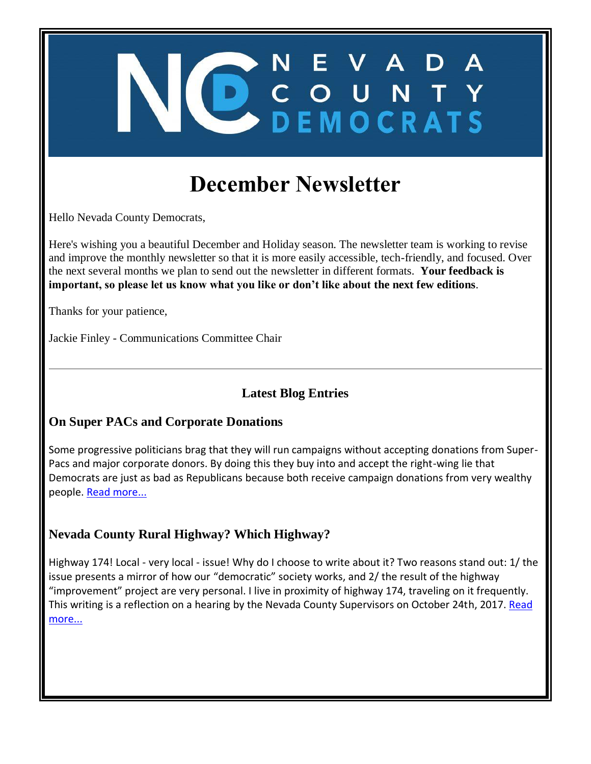# **December Newsletter**

ONEVADA<br>OCOUNTY

Hello Nevada County Democrats,

Here's wishing you a beautiful December and Holiday season. The newsletter team is working to revise and improve the monthly newsletter so that it is more easily accessible, tech-friendly, and focused. Over the next several months we plan to send out the newsletter in different formats. **Your feedback is important, so please let us know what you like or don't like about the next few editions**.

Thanks for your patience,

Jackie Finley - Communications Committee Chair

#### **Latest Blog Entries**

#### **On Super PACs and Corporate Donations**

Some progressive politicians brag that they will run campaigns without accepting donations from Super-Pacs and major corporate donors. By doing this they buy into and accept the right-wing lie that Democrats are just as bad as Republicans because both receive campaign donations from very wealthy people. [Read more...](http://www.staging.nevadacountydemocrats.com/2017/11/29/on-super-pacs-and-corporate-donations/)

#### **Nevada County Rural Highway? Which Highway?**

Highway 174! Local - very local - issue! Why do I choose to write about it? Two reasons stand out: 1/ the issue presents a mirror of how our "democratic" society works, and 2/ the result of the highway "improvement" project are very personal. I live in proximity of highway 174, traveling on it frequently. This writing is a reflection on a hearing by the Nevada County Supervisors on October 24th, 2017. Read [more...](http://www.staging.nevadacountydemocrats.com/2017/11/29/nevada-county-rural-highway-which-highway/)